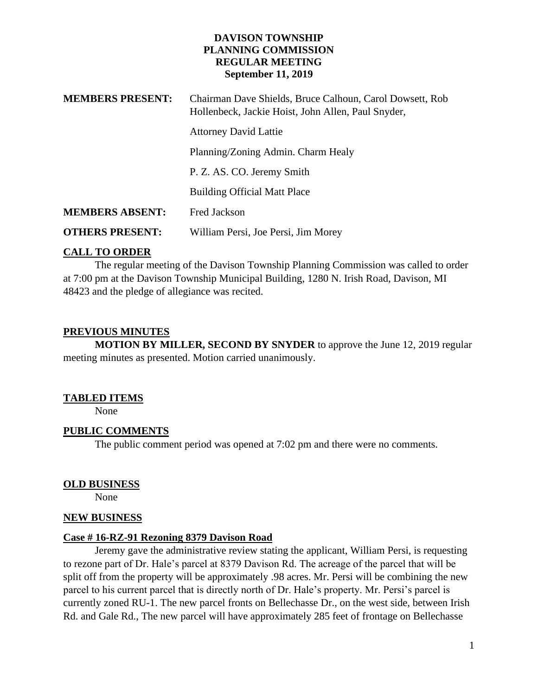### **DAVISON TOWNSHIP PLANNING COMMISSION REGULAR MEETING September 11, 2019**

| <b>MEMBERS PRESENT:</b> | Chairman Dave Shields, Bruce Calhoun, Carol Dowsett, Rob<br>Hollenbeck, Jackie Hoist, John Allen, Paul Snyder, |
|-------------------------|----------------------------------------------------------------------------------------------------------------|
|                         | <b>Attorney David Lattie</b>                                                                                   |
|                         | Planning/Zoning Admin. Charm Healy                                                                             |
|                         | P. Z. AS. CO. Jeremy Smith                                                                                     |
|                         | <b>Building Official Matt Place</b>                                                                            |
| <b>MEMBERS ABSENT:</b>  | <b>Fred Jackson</b>                                                                                            |
| <b>OTHERS PRESENT:</b>  | William Persi, Joe Persi, Jim Morey                                                                            |

# **CALL TO ORDER**

The regular meeting of the Davison Township Planning Commission was called to order at 7:00 pm at the Davison Township Municipal Building, 1280 N. Irish Road, Davison, MI 48423 and the pledge of allegiance was recited.

# **PREVIOUS MINUTES**

**MOTION BY MILLER, SECOND BY SNYDER** to approve the June 12, 2019 regular meeting minutes as presented. Motion carried unanimously.

#### **TABLED ITEMS**

None

#### **PUBLIC COMMENTS**

The public comment period was opened at 7:02 pm and there were no comments.

#### **OLD BUSINESS**

None

#### **NEW BUSINESS**

#### **Case # 16-RZ-91 Rezoning 8379 Davison Road**

Jeremy gave the administrative review stating the applicant, William Persi, is requesting to rezone part of Dr. Hale's parcel at 8379 Davison Rd. The acreage of the parcel that will be split off from the property will be approximately .98 acres. Mr. Persi will be combining the new parcel to his current parcel that is directly north of Dr. Hale's property. Mr. Persi's parcel is currently zoned RU-1. The new parcel fronts on Bellechasse Dr., on the west side, between Irish Rd. and Gale Rd., The new parcel will have approximately 285 feet of frontage on Bellechasse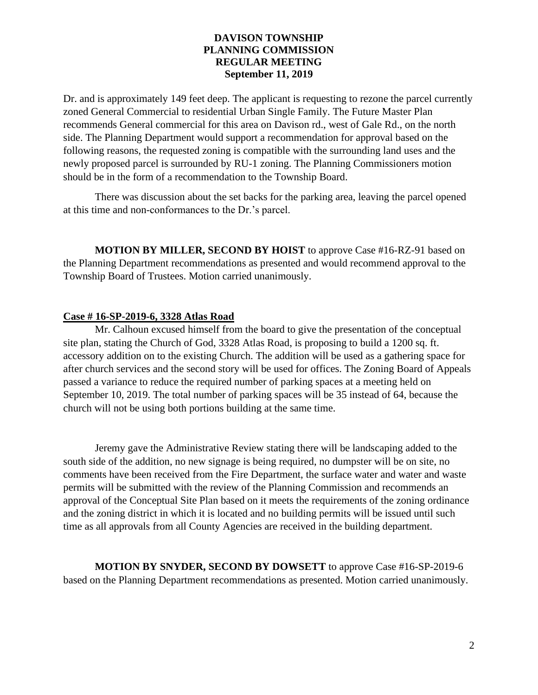### **DAVISON TOWNSHIP PLANNING COMMISSION REGULAR MEETING September 11, 2019**

Dr. and is approximately 149 feet deep. The applicant is requesting to rezone the parcel currently zoned General Commercial to residential Urban Single Family. The Future Master Plan recommends General commercial for this area on Davison rd., west of Gale Rd., on the north side. The Planning Department would support a recommendation for approval based on the following reasons, the requested zoning is compatible with the surrounding land uses and the newly proposed parcel is surrounded by RU-1 zoning. The Planning Commissioners motion should be in the form of a recommendation to the Township Board.

There was discussion about the set backs for the parking area, leaving the parcel opened at this time and non-conformances to the Dr.'s parcel.

**MOTION BY MILLER, SECOND BY HOIST** to approve Case #16-RZ-91 based on the Planning Department recommendations as presented and would recommend approval to the Township Board of Trustees. Motion carried unanimously.

# **Case # 16-SP-2019-6, 3328 Atlas Road**

Mr. Calhoun excused himself from the board to give the presentation of the conceptual site plan, stating the Church of God, 3328 Atlas Road, is proposing to build a 1200 sq. ft. accessory addition on to the existing Church. The addition will be used as a gathering space for after church services and the second story will be used for offices. The Zoning Board of Appeals passed a variance to reduce the required number of parking spaces at a meeting held on September 10, 2019. The total number of parking spaces will be 35 instead of 64, because the church will not be using both portions building at the same time.

Jeremy gave the Administrative Review stating there will be landscaping added to the south side of the addition, no new signage is being required, no dumpster will be on site, no comments have been received from the Fire Department, the surface water and water and waste permits will be submitted with the review of the Planning Commission and recommends an approval of the Conceptual Site Plan based on it meets the requirements of the zoning ordinance and the zoning district in which it is located and no building permits will be issued until such time as all approvals from all County Agencies are received in the building department.

**MOTION BY SNYDER, SECOND BY DOWSETT** to approve Case #16-SP-2019-6 based on the Planning Department recommendations as presented. Motion carried unanimously.